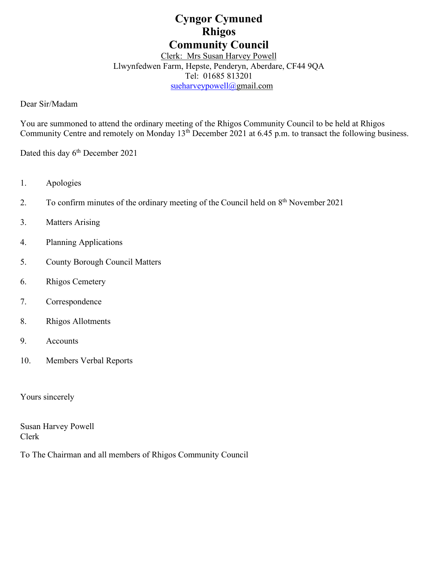# **Cyngor Cymuned Rhigos Community Council**

Clerk: Mrs Susan Harvey Powell Llwynfedwen Farm, Hepste, Penderyn, Aberdare, CF44 9QA Tel: 01685 813201 [sueharveypowell@g](mailto:sharveypowell@comin-infants.co.uk)mail.com

Dear Sir/Madam

You are summoned to attend the ordinary meeting of the Rhigos Community Council to be held at Rhigos Community Centre and remotely on Monday 13<sup>th</sup> December 2021 at 6.45 p.m. to transact the following business.

Dated this day 6<sup>th</sup> December 2021

- 1. Apologies
- 2. To confirm minutes of the ordinary meeting of the Council held on  $8<sup>th</sup>$  November 2021
- 3. Matters Arising
- 4. Planning Applications
- 5. County Borough Council Matters
- 6. Rhigos Cemetery
- 7. Correspondence
- 8. Rhigos Allotments
- 9. Accounts
- 10. Members Verbal Reports

Yours sincerely

Susan Harvey Powell Clerk

To The Chairman and all members of Rhigos Community Council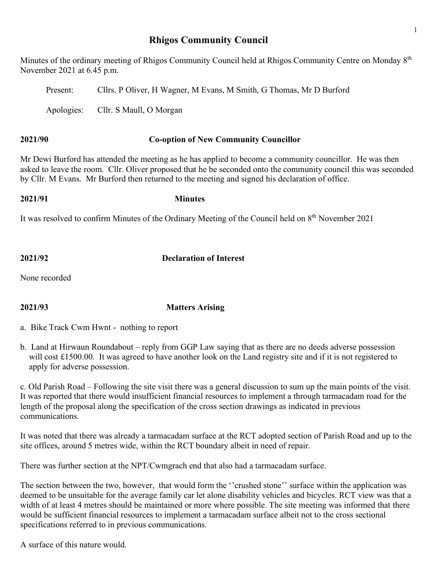# **Rhigos Community Council**

Minutes of the ordinary meeting of Rhigos Community Council held at Rhigos Community Centre on Monday  $8<sup>th</sup>$ November 2021 at 6.45 p.m.

Present: Cllrs. P Oliver, H Wagner, M Evans, M Smith, G Thomas, Mr D Burford Apologies: Cllr. S Maull, O Morgan

# **2021/90 Co-option of New Community Councillor**

Mr Dewi Burford has attended the meeting as he has applied to become a community councillor. He was then asked to leave the room. Cllr. Oliver proposed that he be seconded onto the community council this was seconded by Cllr. M Evans. Mr Burford then returned to the meeting and signed his declaration of office.

# **2021/91 Minutes**

It was resolved to confirm Minutes of the Ordinary Meeting of the Council held on 8<sup>th</sup> November 2021

**2021/92 Declaration of Interest**

None recorded

### **2021/93 Matters Arising**

a. Bike Track Cwm Hwnt - nothing to report

b. Land at Hirwaun Roundabout – reply from GGP Law saying that as there are no deeds adverse possession will cost £1500.00. It was agreed to have another look on the Land registry site and if it is not registered to apply for adverse possession.

c. Old Parish Road – Following the site visit there was a general discussion to sum up the main points of the visit. It was reported that there would insufficient financial resources to implement a through tarmacadam road for the length of the proposal along the specification of the cross section drawings as indicated in previous communications.

It was noted that there was already a tarmacadam surface at the RCT adopted section of Parish Road and up to the site offices, around 5 metres wide, within the RCT boundary albeit in need of repair.

There was further section at the NPT/Cwmgrach end that also had a tarmacadam surface.

The section between the two, however, that would form the ''crushed stone'' surface within the application was deemed to be unsuitable for the average family car let alone disability vehicles and bicycles. RCT view was that a width of at least 4 metres should be maintained or more where possible. The site meeting was informed that there would be sufficient financial resources to implement a tarmacadam surface albeit not to the cross sectional specifications referred to in previous communications.

A surface of this nature would.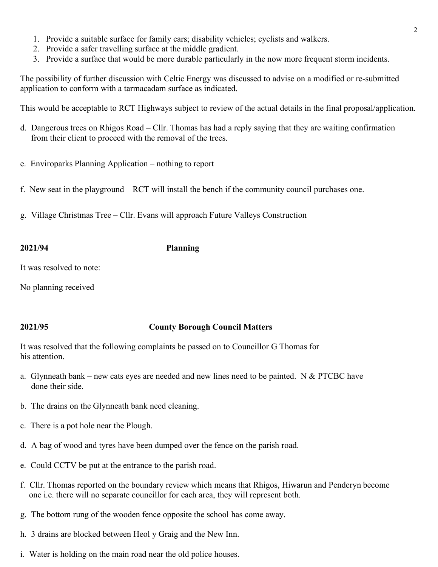- 1. Provide a suitable surface for family cars; disability vehicles; cyclists and walkers.
- 2. Provide a safer travelling surface at the middle gradient.
- 3. Provide a surface that would be more durable particularly in the now more frequent storm incidents.

The possibility of further discussion with Celtic Energy was discussed to advise on a modified or re-submitted application to conform with a tarmacadam surface as indicated.

This would be acceptable to RCT Highways subject to review of the actual details in the final proposal/application.

- d. Dangerous trees on Rhigos Road Cllr. Thomas has had a reply saying that they are waiting confirmation from their client to proceed with the removal of the trees.
- e. Enviroparks Planning Application nothing to report
- f. New seat in the playground RCT will install the bench if the community council purchases one.
- g. Village Christmas Tree Cllr. Evans will approach Future Valleys Construction

## **2021/94 Planning**

It was resolved to note:

No planning received

# **2021/95 County Borough Council Matters**

It was resolved that the following complaints be passed on to Councillor G Thomas for his attention.

- a. Glynneath bank new cats eyes are needed and new lines need to be painted. N & PTCBC have done their side.
- b. The drains on the Glynneath bank need cleaning.
- c. There is a pot hole near the Plough.
- d. A bag of wood and tyres have been dumped over the fence on the parish road.
- e. Could CCTV be put at the entrance to the parish road.
- f. Cllr. Thomas reported on the boundary review which means that Rhigos, Hiwarun and Penderyn become one i.e. there will no separate councillor for each area, they will represent both.
- g. The bottom rung of the wooden fence opposite the school has come away.
- h. 3 drains are blocked between Heol y Graig and the New Inn.
- i. Water is holding on the main road near the old police houses.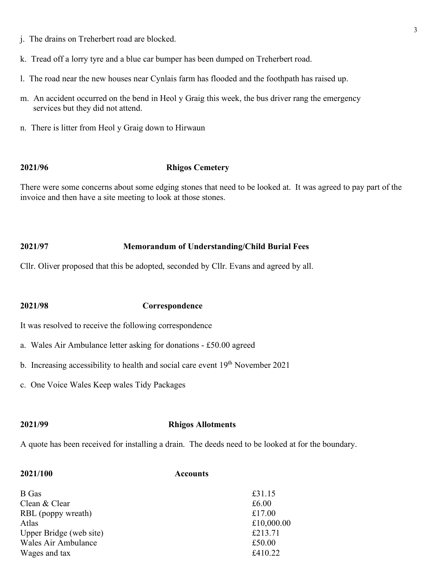- k. Tread off a lorry tyre and a blue car bumper has been dumped on Treherbert road.
- l. The road near the new houses near Cynlais farm has flooded and the foothpath has raised up.
- m. An accident occurred on the bend in Heol y Graig this week, the bus driver rang the emergency services but they did not attend.
- n. There is litter from Heol y Graig down to Hirwaun

### **2021/96 Rhigos Cemetery**

There were some concerns about some edging stones that need to be looked at. It was agreed to pay part of the invoice and then have a site meeting to look at those stones.

### **2021/97 Memorandum of Understanding/Child Burial Fees**

Cllr. Oliver proposed that this be adopted, seconded by Cllr. Evans and agreed by all.

### **2021/98 Correspondence**

It was resolved to receive the following correspondence

- a. Wales Air Ambulance letter asking for donations £50.00 agreed
- b. Increasing accessibility to health and social care event 19<sup>th</sup> November 2021
- c. One Voice Wales Keep wales Tidy Packages

### **2021/99 Rhigos Allotments**

A quote has been received for installing a drain. The deeds need to be looked at for the boundary.

| <b>Accounts</b> |
|-----------------|
| £31.15          |
| £6.00           |
| £17.00          |
| £10,000.00      |
| £213.71         |
| £50.00          |
| £410.22         |
|                 |